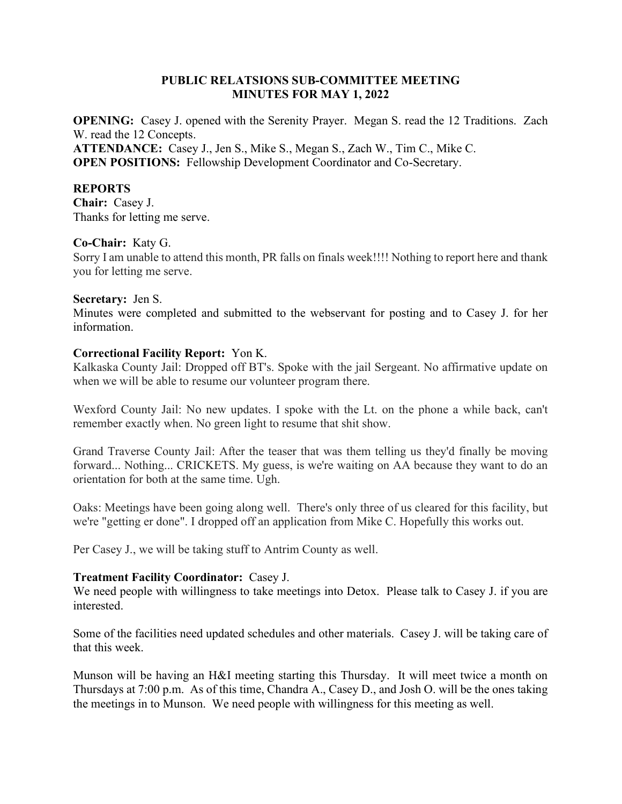### PUBLIC RELATSIONS SUB-COMMITTEE MEETING MINUTES FOR MAY 1, 2022

OPENING: Casey J. opened with the Serenity Prayer. Megan S. read the 12 Traditions. Zach W. read the 12 Concepts. ATTENDANCE: Casey J., Jen S., Mike S., Megan S., Zach W., Tim C., Mike C. OPEN POSITIONS: Fellowship Development Coordinator and Co-Secretary.

#### REPORTS

Chair: Casey J. Thanks for letting me serve.

### Co-Chair: Katy G.

Sorry I am unable to attend this month, PR falls on finals week!!!! Nothing to report here and thank you for letting me serve.

#### Secretary: Jen S.

Minutes were completed and submitted to the webservant for posting and to Casey J. for her information.

### Correctional Facility Report: Yon K.

Kalkaska County Jail: Dropped off BT's. Spoke with the jail Sergeant. No affirmative update on when we will be able to resume our volunteer program there.

Wexford County Jail: No new updates. I spoke with the Lt. on the phone a while back, can't remember exactly when. No green light to resume that shit show.

Grand Traverse County Jail: After the teaser that was them telling us they'd finally be moving forward... Nothing... CRICKETS. My guess, is we're waiting on AA because they want to do an orientation for both at the same time. Ugh.

Oaks: Meetings have been going along well. There's only three of us cleared for this facility, but we're "getting er done". I dropped off an application from Mike C. Hopefully this works out.

Per Casey J., we will be taking stuff to Antrim County as well.

### Treatment Facility Coordinator: Casey J.

We need people with willingness to take meetings into Detox. Please talk to Casey J. if you are interested.

Some of the facilities need updated schedules and other materials. Casey J. will be taking care of that this week.

Munson will be having an H&I meeting starting this Thursday. It will meet twice a month on Thursdays at 7:00 p.m. As of this time, Chandra A., Casey D., and Josh O. will be the ones taking the meetings in to Munson. We need people with willingness for this meeting as well.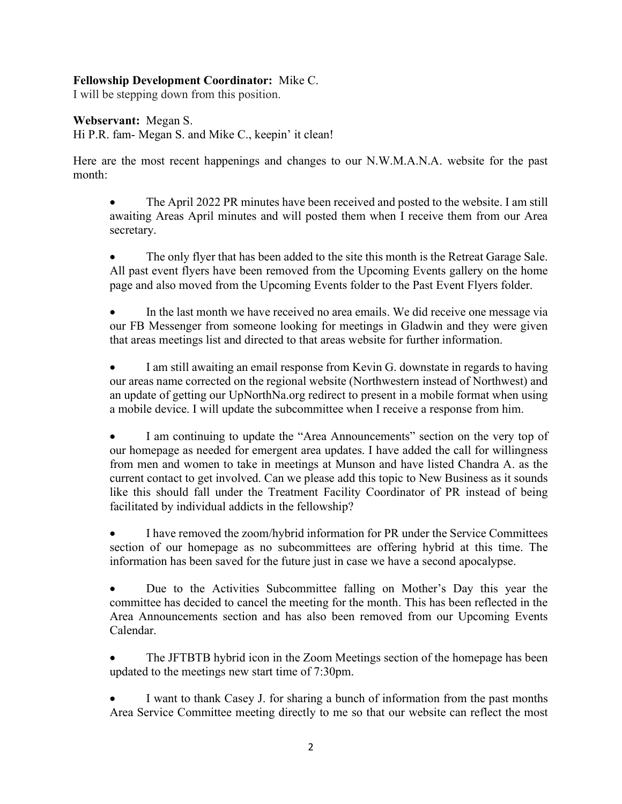## Fellowship Development Coordinator: Mike C.

I will be stepping down from this position.

Webservant: Megan S.

Hi P.R. fam- Megan S. and Mike C., keepin' it clean!

Here are the most recent happenings and changes to our N.W.M.A.N.A. website for the past month:

 The April 2022 PR minutes have been received and posted to the website. I am still awaiting Areas April minutes and will posted them when I receive them from our Area secretary.

 The only flyer that has been added to the site this month is the Retreat Garage Sale. All past event flyers have been removed from the Upcoming Events gallery on the home page and also moved from the Upcoming Events folder to the Past Event Flyers folder.

 In the last month we have received no area emails. We did receive one message via our FB Messenger from someone looking for meetings in Gladwin and they were given that areas meetings list and directed to that areas website for further information.

 I am still awaiting an email response from Kevin G. downstate in regards to having our areas name corrected on the regional website (Northwestern instead of Northwest) and an update of getting our UpNorthNa.org redirect to present in a mobile format when using a mobile device. I will update the subcommittee when I receive a response from him.

 I am continuing to update the "Area Announcements" section on the very top of our homepage as needed for emergent area updates. I have added the call for willingness from men and women to take in meetings at Munson and have listed Chandra A. as the current contact to get involved. Can we please add this topic to New Business as it sounds like this should fall under the Treatment Facility Coordinator of PR instead of being facilitated by individual addicts in the fellowship?

 I have removed the zoom/hybrid information for PR under the Service Committees section of our homepage as no subcommittees are offering hybrid at this time. The information has been saved for the future just in case we have a second apocalypse.

 Due to the Activities Subcommittee falling on Mother's Day this year the committee has decided to cancel the meeting for the month. This has been reflected in the Area Announcements section and has also been removed from our Upcoming Events Calendar.

 The JFTBTB hybrid icon in the Zoom Meetings section of the homepage has been updated to the meetings new start time of 7:30pm.

 I want to thank Casey J. for sharing a bunch of information from the past months Area Service Committee meeting directly to me so that our website can reflect the most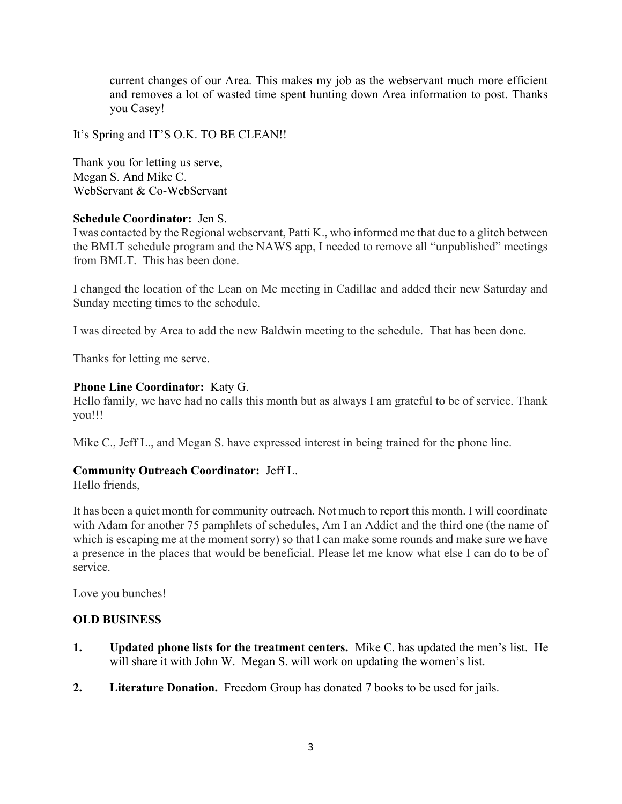current changes of our Area. This makes my job as the webservant much more efficient and removes a lot of wasted time spent hunting down Area information to post. Thanks you Casey!

It's Spring and IT'S O.K. TO BE CLEAN!!

Thank you for letting us serve, Megan S. And Mike C. WebServant & Co-WebServant

## Schedule Coordinator: Jen S.

I was contacted by the Regional webservant, Patti K., who informed me that due to a glitch between the BMLT schedule program and the NAWS app, I needed to remove all "unpublished" meetings from BMLT. This has been done.

I changed the location of the Lean on Me meeting in Cadillac and added their new Saturday and Sunday meeting times to the schedule.

I was directed by Area to add the new Baldwin meeting to the schedule. That has been done.

Thanks for letting me serve.

## Phone Line Coordinator: Katy G.

Hello family, we have had no calls this month but as always I am grateful to be of service. Thank you!!!

Mike C., Jeff L., and Megan S. have expressed interest in being trained for the phone line.

### Community Outreach Coordinator: Jeff L.

Hello friends,

It has been a quiet month for community outreach. Not much to report this month. I will coordinate with Adam for another 75 pamphlets of schedules, Am I an Addict and the third one (the name of which is escaping me at the moment sorry) so that I can make some rounds and make sure we have a presence in the places that would be beneficial. Please let me know what else I can do to be of service.

Love you bunches!

### OLD BUSINESS

- 1. Updated phone lists for the treatment centers. Mike C. has updated the men's list. He will share it with John W. Megan S. will work on updating the women's list.
- 2. Literature Donation. Freedom Group has donated 7 books to be used for jails.